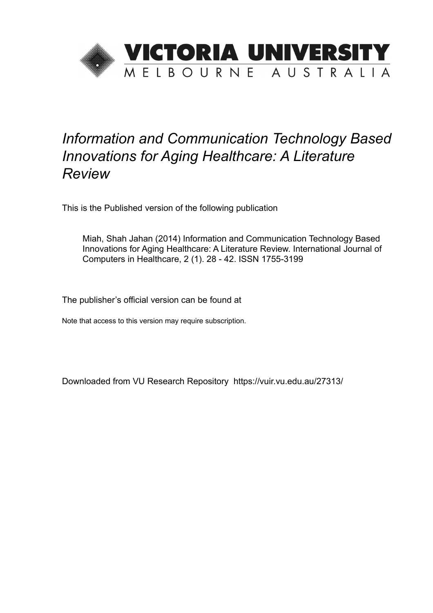

# *Information and Communication Technology Based Innovations for Aging Healthcare: A Literature Review*

This is the Published version of the following publication

Miah, Shah Jahan (2014) Information and Communication Technology Based Innovations for Aging Healthcare: A Literature Review. International Journal of Computers in Healthcare, 2 (1). 28 - 42. ISSN 1755-3199

The publisher's official version can be found at

Note that access to this version may require subscription.

Downloaded from VU Research Repository https://vuir.vu.edu.au/27313/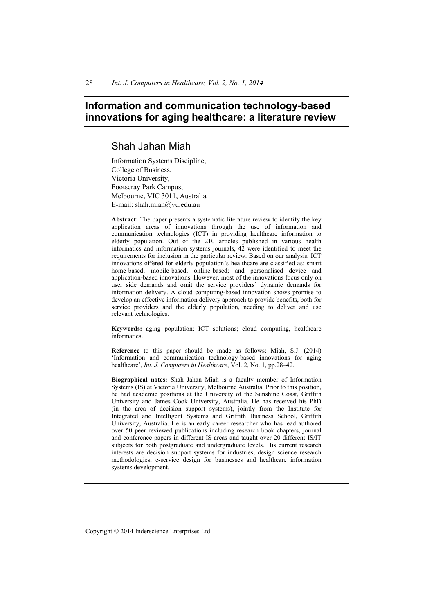# **Information and communication technology-based innovations for aging healthcare: a literature review**

# Shah Jahan Miah

Information Systems Discipline, College of Business, Victoria University, Footscray Park Campus, Melbourne, VIC 3011, Australia E-mail: shah.miah@vu.edu.au

**Abstract:** The paper presents a systematic literature review to identify the key application areas of innovations through the use of information and communication technologies (ICT) in providing healthcare information to elderly population. Out of the 210 articles published in various health informatics and information systems journals, 42 were identified to meet the requirements for inclusion in the particular review. Based on our analysis, ICT innovations offered for elderly population's healthcare are classified as: smart home-based; mobile-based; online-based; and personalised device and application-based innovations. However, most of the innovations focus only on user side demands and omit the service providers' dynamic demands for information delivery. A cloud computing-based innovation shows promise to develop an effective information delivery approach to provide benefits, both for service providers and the elderly population, needing to deliver and use relevant technologies.

**Keywords:** aging population; ICT solutions; cloud computing, healthcare informatics.

**Reference** to this paper should be made as follows: Miah, S.J. (2014) 'Information and communication technology-based innovations for aging healthcare', *Int. J. Computers in Healthcare*, Vol. 2, No. 1, pp.28–42.

**Biographical notes:** Shah Jahan Miah is a faculty member of Information Systems (IS) at Victoria University, Melbourne Australia. Prior to this position, he had academic positions at the University of the Sunshine Coast, Griffith University and James Cook University, Australia. He has received his PhD (in the area of decision support systems), jointly from the Institute for Integrated and Intelligent Systems and Griffith Business School, Griffith University, Australia. He is an early career researcher who has lead authored over 50 peer reviewed publications including research book chapters, journal and conference papers in different IS areas and taught over 20 different IS/IT subjects for both postgraduate and undergraduate levels. His current research interests are decision support systems for industries, design science research methodologies, e-service design for businesses and healthcare information systems development.

Copyright © 2014 Inderscience Enterprises Ltd.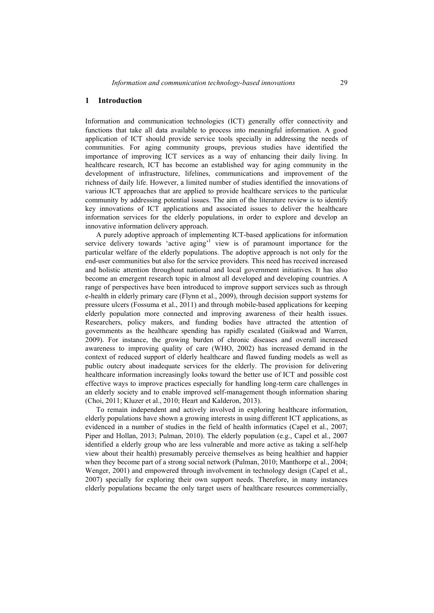#### **1 Introduction**

Information and communication technologies (ICT) generally offer connectivity and functions that take all data available to process into meaningful information. A good application of ICT should provide service tools specially in addressing the needs of communities. For aging community groups, previous studies have identified the importance of improving ICT services as a way of enhancing their daily living. In healthcare research, ICT has become an established way for aging community in the development of infrastructure, lifelines, communications and improvement of the richness of daily life. However, a limited number of studies identified the innovations of various ICT approaches that are applied to provide healthcare services to the particular community by addressing potential issues. The aim of the literature review is to identify key innovations of ICT applications and associated issues to deliver the healthcare information services for the elderly populations, in order to explore and develop an innovative information delivery approach.

A purely adoptive approach of implementing ICT-based applications for information service delivery towards 'active aging'<sup>1</sup> view is of paramount importance for the particular welfare of the elderly populations. The adoptive approach is not only for the end-user communities but also for the service providers. This need has received increased and holistic attention throughout national and local government initiatives. It has also become an emergent research topic in almost all developed and developing countries. A range of perspectives have been introduced to improve support services such as through e-health in elderly primary care (Flynn et al., 2009), through decision support systems for pressure ulcers (Fossuma et al., 2011) and through mobile-based applications for keeping elderly population more connected and improving awareness of their health issues. Researchers, policy makers, and funding bodies have attracted the attention of governments as the healthcare spending has rapidly escalated (Gaikwad and Warren, 2009). For instance, the growing burden of chronic diseases and overall increased awareness to improving quality of care (WHO, 2002) has increased demand in the context of reduced support of elderly healthcare and flawed funding models as well as public outcry about inadequate services for the elderly. The provision for delivering healthcare information increasingly looks toward the better use of ICT and possible cost effective ways to improve practices especially for handling long-term care challenges in an elderly society and to enable improved self-management though information sharing (Choi, 2011; Kluzer et al., 2010; Heart and Kalderon, 2013).

To remain independent and actively involved in exploring healthcare information, elderly populations have shown a growing interests in using different ICT applications, as evidenced in a number of studies in the field of health informatics (Capel et al., 2007; Piper and Hollan, 2013; Pulman, 2010). The elderly population (e.g., Capel et al., 2007 identified a elderly group who are less vulnerable and more active as taking a self-help view about their health) presumably perceive themselves as being healthier and happier when they become part of a strong social network (Pulman, 2010; Manthorpe et al., 2004; Wenger, 2001) and empowered through involvement in technology design (Capel et al., 2007) specially for exploring their own support needs. Therefore, in many instances elderly populations became the only target users of healthcare resources commercially,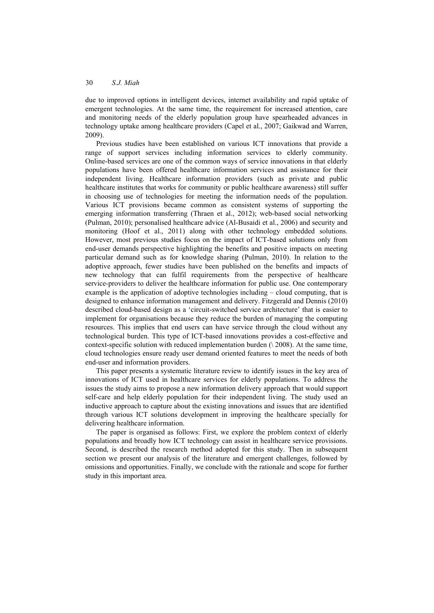due to improved options in intelligent devices, internet availability and rapid uptake of emergent technologies. At the same time, the requirement for increased attention, care and monitoring needs of the elderly population group have spearheaded advances in technology uptake among healthcare providers (Capel et al., 2007; Gaikwad and Warren, 2009).

Previous studies have been established on various ICT innovations that provide a range of support services including information services to elderly community. Online-based services are one of the common ways of service innovations in that elderly populations have been offered healthcare information services and assistance for their independent living. Healthcare information providers (such as private and public healthcare institutes that works for community or public healthcare awareness) still suffer in choosing use of technologies for meeting the information needs of the population. Various ICT provisions became common as consistent systems of supporting the emerging information transferring (Thraen et al., 2012); web-based social networking (Pulman, 2010); personalised healthcare advice (Al-Busaidi et al., 2006) and security and monitoring (Hoof et al., 2011) along with other technology embedded solutions. However, most previous studies focus on the impact of ICT-based solutions only from end-user demands perspective highlighting the benefits and positive impacts on meeting particular demand such as for knowledge sharing (Pulman, 2010). In relation to the adoptive approach, fewer studies have been published on the benefits and impacts of new technology that can fulfil requirements from the perspective of healthcare service-providers to deliver the healthcare information for public use. One contemporary example is the application of adoptive technologies including – cloud computing, that is designed to enhance information management and delivery. Fitzgerald and Dennis (2010) described cloud-based design as a 'circuit-switched service architecture' that is easier to implement for organisations because they reduce the burden of managing the computing resources. This implies that end users can have service through the cloud without any technological burden. This type of ICT-based innovations provides a cost-effective and context-specific solution with reduced implementation burden  $(\Delta 2008)$ . At the same time, cloud technologies ensure ready user demand oriented features to meet the needs of both end-user and information providers.

This paper presents a systematic literature review to identify issues in the key area of innovations of ICT used in healthcare services for elderly populations. To address the issues the study aims to propose a new information delivery approach that would support self-care and help elderly population for their independent living. The study used an inductive approach to capture about the existing innovations and issues that are identified through various ICT solutions development in improving the healthcare specially for delivering healthcare information.

The paper is organised as follows: First, we explore the problem context of elderly populations and broadly how ICT technology can assist in healthcare service provisions. Second, is described the research method adopted for this study. Then in subsequent section we present our analysis of the literature and emergent challenges, followed by omissions and opportunities. Finally, we conclude with the rationale and scope for further study in this important area.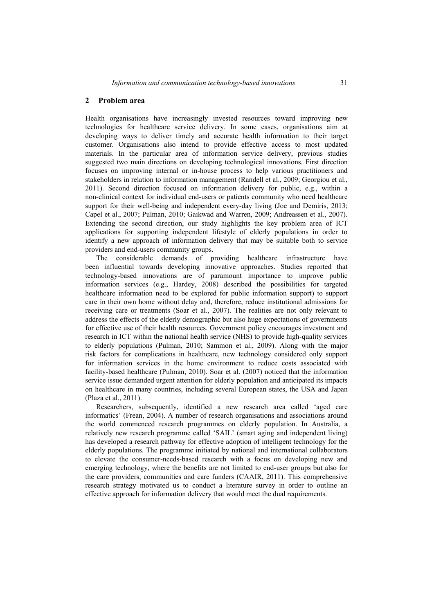#### **2 Problem area**

Health organisations have increasingly invested resources toward improving new technologies for healthcare service delivery. In some cases, organisations aim at developing ways to deliver timely and accurate health information to their target customer. Organisations also intend to provide effective access to most updated materials. In the particular area of information service delivery, previous studies suggested two main directions on developing technological innovations. First direction focuses on improving internal or in-house process to help various practitioners and stakeholders in relation to information management (Randell et al., 2009; Georgiou et al., 2011). Second direction focused on information delivery for public, e.g., within a non-clinical context for individual end-users or patients community who need healthcare support for their well-being and independent every-day living (Joe and Demiris, 2013; Capel et al., 2007; Pulman, 2010; Gaikwad and Warren, 2009; Andreassen et al., 2007). Extending the second direction, our study highlights the key problem area of ICT applications for supporting independent lifestyle of elderly populations in order to identify a new approach of information delivery that may be suitable both to service providers and end-users community groups.

The considerable demands of providing healthcare infrastructure have been influential towards developing innovative approaches. Studies reported that technology-based innovations are of paramount importance to improve public information services (e.g., Hardey, 2008) described the possibilities for targeted healthcare information need to be explored for public information support) to support care in their own home without delay and, therefore, reduce institutional admissions for receiving care or treatments (Soar et al., 2007). The realities are not only relevant to address the effects of the elderly demographic but also huge expectations of governments for effective use of their health resources. Government policy encourages investment and research in ICT within the national health service (NHS) to provide high-quality services to elderly populations (Pulman, 2010; Sammon et al., 2009). Along with the major risk factors for complications in healthcare, new technology considered only support for information services in the home environment to reduce costs associated with facility-based healthcare (Pulman, 2010). Soar et al. (2007) noticed that the information service issue demanded urgent attention for elderly population and anticipated its impacts on healthcare in many countries, including several European states, the USA and Japan (Plaza et al., 2011).

Researchers, subsequently, identified a new research area called 'aged care informatics' (Frean, 2004). A number of research organisations and associations around the world commenced research programmes on elderly population. In Australia, a relatively new research programme called 'SAIL' (smart aging and independent living) has developed a research pathway for effective adoption of intelligent technology for the elderly populations. The programme initiated by national and international collaborators to elevate the consumer-needs-based research with a focus on developing new and emerging technology, where the benefits are not limited to end-user groups but also for the care providers, communities and care funders (CAAIR, 2011). This comprehensive research strategy motivated us to conduct a literature survey in order to outline an effective approach for information delivery that would meet the dual requirements.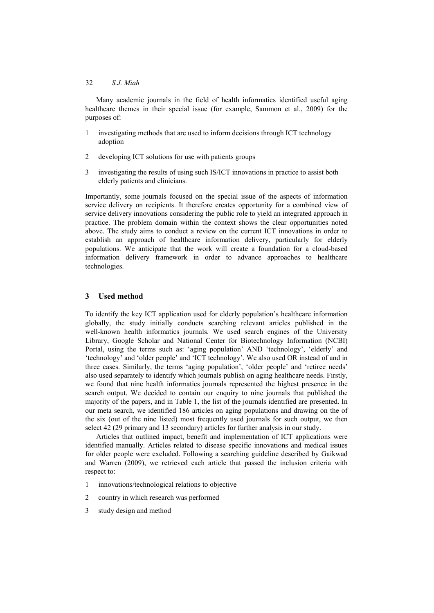Many academic journals in the field of health informatics identified useful aging healthcare themes in their special issue (for example, Sammon et al., 2009) for the purposes of:

- 1 investigating methods that are used to inform decisions through ICT technology adoption
- 2 developing ICT solutions for use with patients groups
- 3 investigating the results of using such IS/ICT innovations in practice to assist both elderly patients and clinicians.

Importantly, some journals focused on the special issue of the aspects of information service delivery on recipients. It therefore creates opportunity for a combined view of service delivery innovations considering the public role to yield an integrated approach in practice. The problem domain within the context shows the clear opportunities noted above. The study aims to conduct a review on the current ICT innovations in order to establish an approach of healthcare information delivery, particularly for elderly populations. We anticipate that the work will create a foundation for a cloud-based information delivery framework in order to advance approaches to healthcare technologies.

# **3 Used method**

To identify the key ICT application used for elderly population's healthcare information globally, the study initially conducts searching relevant articles published in the well-known health informatics journals. We used search engines of the University Library, Google Scholar and National Center for Biotechnology Information (NCBI) Portal, using the terms such as: 'aging population' AND 'technology', 'elderly' and 'technology' and 'older people' and 'ICT technology'. We also used OR instead of and in three cases. Similarly, the terms 'aging population', 'older people' and 'retiree needs' also used separately to identify which journals publish on aging healthcare needs. Firstly, we found that nine health informatics journals represented the highest presence in the search output. We decided to contain our enquiry to nine journals that published the majority of the papers, and in Table 1, the list of the journals identified are presented. In our meta search, we identified 186 articles on aging populations and drawing on the of the six (out of the nine listed) most frequently used journals for such output, we then select 42 (29 primary and 13 secondary) articles for further analysis in our study.

Articles that outlined impact, benefit and implementation of ICT applications were identified manually. Articles related to disease specific innovations and medical issues for older people were excluded. Following a searching guideline described by Gaikwad and Warren (2009), we retrieved each article that passed the inclusion criteria with respect to:

- 1 innovations/technological relations to objective
- 2 country in which research was performed
- 3 study design and method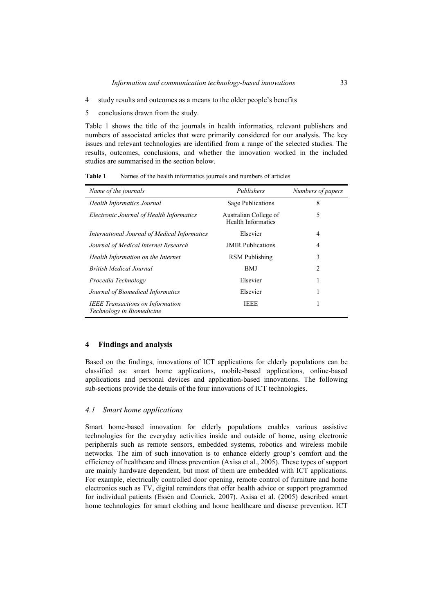- 4 study results and outcomes as a means to the older people's benefits
- 5 conclusions drawn from the study.

Table 1 shows the title of the journals in health informatics, relevant publishers and numbers of associated articles that were primarily considered for our analysis. The key issues and relevant technologies are identified from a range of the selected studies. The results, outcomes, conclusions, and whether the innovation worked in the included studies are summarised in the section below.

**Table 1** Names of the health informatics journals and numbers of articles

| Name of the journals                                                 | Publishers                                         | Numbers of papers |
|----------------------------------------------------------------------|----------------------------------------------------|-------------------|
| <b>Health Informatics Journal</b>                                    | <b>Sage Publications</b>                           | 8                 |
| Electronic Journal of Health Informatics                             | Australian College of<br><b>Health Informatics</b> | 5                 |
| International Journal of Medical Informatics                         | Elsevier                                           | $\overline{4}$    |
| Journal of Medical Internet Research                                 | <b>JMIR</b> Publications                           | $\overline{4}$    |
| Health Information on the Internet                                   | <b>RSM</b> Publishing                              | 3                 |
| <b>British Medical Journal</b>                                       | <b>BMJ</b>                                         | 2                 |
| Procedia Technology                                                  | Elsevier                                           | 1                 |
| Journal of Biomedical Informatics                                    | Elsevier                                           | 1                 |
| <b>IEEE</b> Transactions on Information<br>Technology in Biomedicine | <b>IEEE</b>                                        | 1                 |

#### **4 Findings and analysis**

Based on the findings, innovations of ICT applications for elderly populations can be classified as: smart home applications, mobile-based applications, online-based applications and personal devices and application-based innovations. The following sub-sections provide the details of the four innovations of ICT technologies.

# *4.1 Smart home applications*

Smart home-based innovation for elderly populations enables various assistive technologies for the everyday activities inside and outside of home, using electronic peripherals such as remote sensors, embedded systems, robotics and wireless mobile networks. The aim of such innovation is to enhance elderly group's comfort and the efficiency of healthcare and illness prevention (Axisa et al., 2005). These types of support are mainly hardware dependent, but most of them are embedded with ICT applications. For example, electrically controlled door opening, remote control of furniture and home electronics such as TV, digital reminders that offer health advice or support programmed for individual patients (Essén and Conrick, 2007). Axisa et al. (2005) described smart home technologies for smart clothing and home healthcare and disease prevention. ICT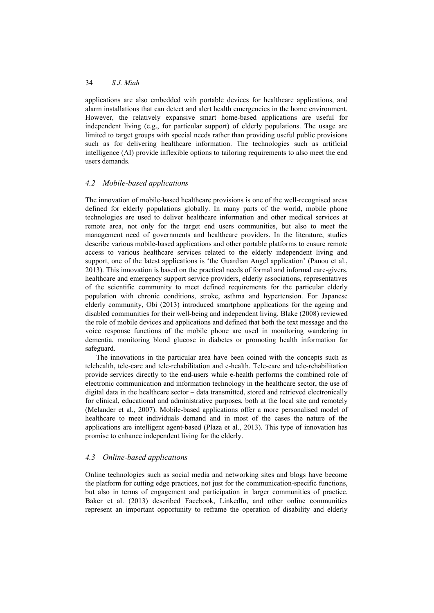applications are also embedded with portable devices for healthcare applications, and alarm installations that can detect and alert health emergencies in the home environment. However, the relatively expansive smart home-based applications are useful for independent living (e.g., for particular support) of elderly populations. The usage are limited to target groups with special needs rather than providing useful public provisions such as for delivering healthcare information. The technologies such as artificial intelligence (AI) provide inflexible options to tailoring requirements to also meet the end users demands.

#### *4.2 Mobile-based applications*

The innovation of mobile-based healthcare provisions is one of the well-recognised areas defined for elderly populations globally. In many parts of the world, mobile phone technologies are used to deliver healthcare information and other medical services at remote area, not only for the target end users communities, but also to meet the management need of governments and healthcare providers. In the literature, studies describe various mobile-based applications and other portable platforms to ensure remote access to various healthcare services related to the elderly independent living and support, one of the latest applications is 'the Guardian Angel application' (Panou et al., 2013). This innovation is based on the practical needs of formal and informal care-givers, healthcare and emergency support service providers, elderly associations, representatives of the scientific community to meet defined requirements for the particular elderly population with chronic conditions, stroke, asthma and hypertension. For Japanese elderly community, Obi (2013) introduced smartphone applications for the ageing and disabled communities for their well-being and independent living. Blake (2008) reviewed the role of mobile devices and applications and defined that both the text message and the voice response functions of the mobile phone are used in monitoring wandering in dementia, monitoring blood glucose in diabetes or promoting health information for safeguard.

The innovations in the particular area have been coined with the concepts such as telehealth, tele-care and tele-rehabilitation and e-health. Tele-care and tele-rehabilitation provide services directly to the end-users while e-health performs the combined role of electronic communication and information technology in the healthcare sector, the use of digital data in the healthcare sector – data transmitted, stored and retrieved electronically for clinical, educational and administrative purposes, both at the local site and remotely (Melander et al., 2007). Mobile-based applications offer a more personalised model of healthcare to meet individuals demand and in most of the cases the nature of the applications are intelligent agent-based (Plaza et al., 2013). This type of innovation has promise to enhance independent living for the elderly.

# *4.3 Online-based applications*

Online technologies such as social media and networking sites and blogs have become the platform for cutting edge practices, not just for the communication-specific functions, but also in terms of engagement and participation in larger communities of practice. Baker et al. (2013) described Facebook, LinkedIn, and other online communities represent an important opportunity to reframe the operation of disability and elderly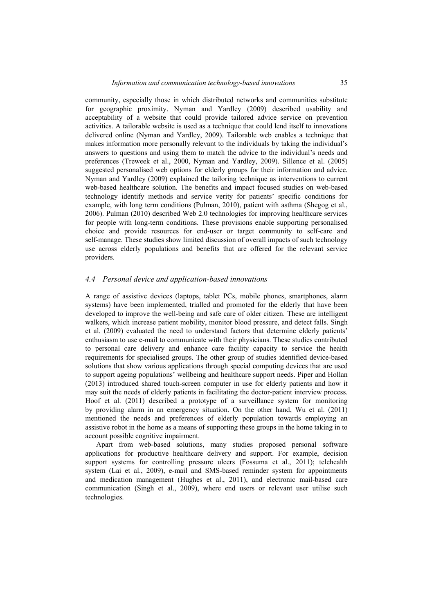community, especially those in which distributed networks and communities substitute for geographic proximity. Nyman and Yardley (2009) described usability and acceptability of a website that could provide tailored advice service on prevention activities. A tailorable website is used as a technique that could lend itself to innovations delivered online (Nyman and Yardley, 2009). Tailorable web enables a technique that makes information more personally relevant to the individuals by taking the individual's answers to questions and using them to match the advice to the individual's needs and preferences (Treweek et al., 2000, Nyman and Yardley, 2009). Sillence et al. (2005) suggested personalised web options for elderly groups for their information and advice. Nyman and Yardley (2009) explained the tailoring technique as interventions to current web-based healthcare solution. The benefits and impact focused studies on web-based technology identify methods and service verity for patients' specific conditions for example, with long term conditions (Pulman, 2010), patient with asthma (Shegog et al., 2006). Pulman (2010) described Web 2.0 technologies for improving healthcare services for people with long-term conditions. These provisions enable supporting personalised choice and provide resources for end-user or target community to self-care and self-manage. These studies show limited discussion of overall impacts of such technology use across elderly populations and benefits that are offered for the relevant service providers.

#### *4.4 Personal device and application-based innovations*

A range of assistive devices (laptops, tablet PCs, mobile phones, smartphones, alarm systems) have been implemented, trialled and promoted for the elderly that have been developed to improve the well-being and safe care of older citizen. These are intelligent walkers, which increase patient mobility, monitor blood pressure, and detect falls. Singh et al. (2009) evaluated the need to understand factors that determine elderly patients' enthusiasm to use e-mail to communicate with their physicians. These studies contributed to personal care delivery and enhance care facility capacity to service the health requirements for specialised groups. The other group of studies identified device-based solutions that show various applications through special computing devices that are used to support ageing populations' wellbeing and healthcare support needs. Piper and Hollan (2013) introduced shared touch-screen computer in use for elderly patients and how it may suit the needs of elderly patients in facilitating the doctor-patient interview process. Hoof et al. (2011) described a prototype of a surveillance system for monitoring by providing alarm in an emergency situation. On the other hand, Wu et al. (2011) mentioned the needs and preferences of elderly population towards employing an assistive robot in the home as a means of supporting these groups in the home taking in to account possible cognitive impairment.

Apart from web-based solutions, many studies proposed personal software applications for productive healthcare delivery and support. For example, decision support systems for controlling pressure ulcers (Fossuma et al., 2011); telehealth system (Lai et al., 2009), e-mail and SMS-based reminder system for appointments and medication management (Hughes et al., 2011), and electronic mail-based care communication (Singh et al., 2009), where end users or relevant user utilise such technologies.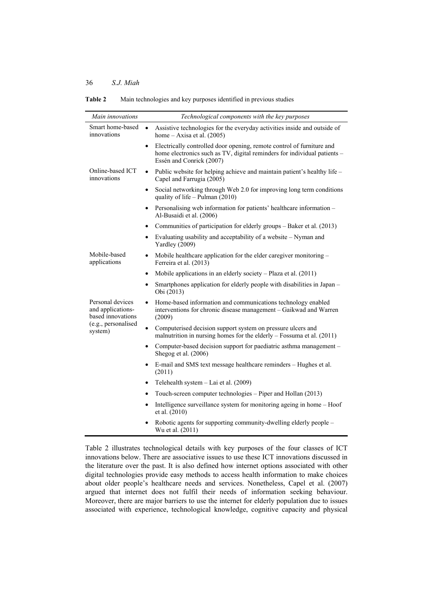| Main innovations                                                                                               | Technological components with the key purposes                                                                                                                                             |
|----------------------------------------------------------------------------------------------------------------|--------------------------------------------------------------------------------------------------------------------------------------------------------------------------------------------|
| Smart home-based<br>innovations                                                                                | Assistive technologies for the everyday activities inside and outside of<br>$\bullet$<br>home $-$ Axisa et al. (2005)                                                                      |
|                                                                                                                | Electrically controlled door opening, remote control of furniture and<br>$\bullet$<br>home electronics such as TV, digital reminders for individual patients -<br>Essén and Conrick (2007) |
| Online-based ICT<br>innovations                                                                                | Public website for helping achieve and maintain patient's healthy life -<br>$\bullet$<br>Capel and Farrugia (2005)                                                                         |
|                                                                                                                | Social networking through Web 2.0 for improving long term conditions<br>$\bullet$<br>quality of life - Pulman $(2010)$                                                                     |
|                                                                                                                | Personalising web information for patients' healthcare information -<br>Al-Busaidi et al. (2006)                                                                                           |
|                                                                                                                | Communities of participation for elderly groups - Baker et al. (2013)<br>٠                                                                                                                 |
|                                                                                                                | Evaluating usability and acceptability of a website - Nyman and<br>٠<br>Yardley (2009)                                                                                                     |
| Mobile-based<br>applications                                                                                   | Mobile healthcare application for the elder caregiver monitoring -<br>٠<br>Ferreira et al. (2013)                                                                                          |
|                                                                                                                | Mobile applications in an elderly society – Plaza et al. $(2011)$<br>$\bullet$                                                                                                             |
|                                                                                                                | Smartphones application for elderly people with disabilities in Japan –<br>$\bullet$<br>Obi (2013)                                                                                         |
| Personal devices<br>$\bullet$<br>and applications-<br>based innovations<br>(e.g., personalised<br>٠<br>system) | Home-based information and communications technology enabled<br>interventions for chronic disease management - Gaikwad and Warren<br>(2009)                                                |
|                                                                                                                | Computerised decision support system on pressure ulcers and<br>malnutrition in nursing homes for the elderly $-$ Fossuma et al. (2011)                                                     |
|                                                                                                                | Computer-based decision support for paediatric asthma management -<br>$\bullet$<br>Shegog et al. (2006)                                                                                    |
|                                                                                                                | E-mail and SMS text message healthcare reminders - Hughes et al.<br>(2011)                                                                                                                 |
|                                                                                                                | Telehealth system - Lai et al. (2009)                                                                                                                                                      |
|                                                                                                                | Touch-screen computer technologies – Piper and Hollan (2013)<br>٠                                                                                                                          |
|                                                                                                                | Intelligence surveillance system for monitoring ageing in home - Hoof<br>et al. (2010)                                                                                                     |
|                                                                                                                | Robotic agents for supporting community-dwelling elderly people –<br>Wu et al. (2011)                                                                                                      |

**Table 2** Main technologies and key purposes identified in previous studies

Table 2 illustrates technological details with key purposes of the four classes of ICT innovations below. There are associative issues to use these ICT innovations discussed in the literature over the past. It is also defined how internet options associated with other digital technologies provide easy methods to access health information to make choices about older people's healthcare needs and services. Nonetheless, Capel et al. (2007) argued that internet does not fulfil their needs of information seeking behaviour. Moreover, there are major barriers to use the internet for elderly population due to issues associated with experience, technological knowledge, cognitive capacity and physical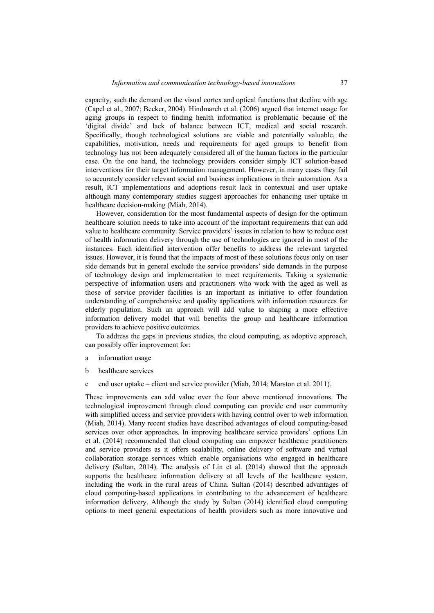capacity, such the demand on the visual cortex and optical functions that decline with age (Capel et al., 2007; Becker, 2004). Hindmarch et al. (2006) argued that internet usage for aging groups in respect to finding health information is problematic because of the 'digital divide' and lack of balance between ICT, medical and social research. Specifically, though technological solutions are viable and potentially valuable, the capabilities, motivation, needs and requirements for aged groups to benefit from technology has not been adequately considered all of the human factors in the particular case. On the one hand, the technology providers consider simply ICT solution-based interventions for their target information management. However, in many cases they fail to accurately consider relevant social and business implications in their automation. As a result, ICT implementations and adoptions result lack in contextual and user uptake although many contemporary studies suggest approaches for enhancing user uptake in healthcare decision-making (Miah, 2014).

However, consideration for the most fundamental aspects of design for the optimum healthcare solution needs to take into account of the important requirements that can add value to healthcare community. Service providers' issues in relation to how to reduce cost of health information delivery through the use of technologies are ignored in most of the instances. Each identified intervention offer benefits to address the relevant targeted issues. However, it is found that the impacts of most of these solutions focus only on user side demands but in general exclude the service providers' side demands in the purpose of technology design and implementation to meet requirements. Taking a systematic perspective of information users and practitioners who work with the aged as well as those of service provider facilities is an important as initiative to offer foundation understanding of comprehensive and quality applications with information resources for elderly population. Such an approach will add value to shaping a more effective information delivery model that will benefits the group and healthcare information providers to achieve positive outcomes.

To address the gaps in previous studies, the cloud computing, as adoptive approach, can possibly offer improvement for:

- a information usage
- b healthcare services
- c end user uptake client and service provider (Miah, 2014; Marston et al. 2011).

These improvements can add value over the four above mentioned innovations. The technological improvement through cloud computing can provide end user community with simplified access and service providers with having control over to web information (Miah, 2014). Many recent studies have described advantages of cloud computing-based services over other approaches. In improving healthcare service providers' options Lin et al. (2014) recommended that cloud computing can empower healthcare practitioners and service providers as it offers scalability, online delivery of software and virtual collaboration storage services which enable organisations who engaged in healthcare delivery (Sultan, 2014). The analysis of Lin et al. (2014) showed that the approach supports the healthcare information delivery at all levels of the healthcare system, including the work in the rural areas of China. Sultan (2014) described advantages of cloud computing-based applications in contributing to the advancement of healthcare information delivery. Although the study by Sultan (2014) identified cloud computing options to meet general expectations of health providers such as more innovative and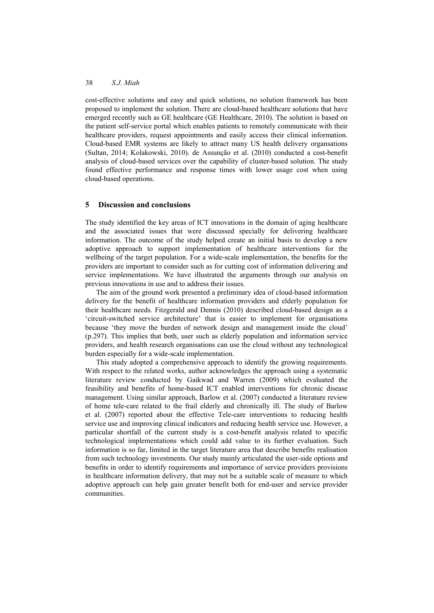cost-effective solutions and easy and quick solutions, no solution framework has been proposed to implement the solution. There are cloud-based healthcare solutions that have emerged recently such as GE healthcare (GE Healthcare, 2010). The solution is based on the patient self-service portal which enables patients to remotely communicate with their healthcare providers, request appointments and easily access their clinical information. Cloud-based EMR systems are likely to attract many US health delivery organsations (Sultan, 2014; Kolakowski, 2010). de Assunção et al. (2010) conducted a cost-benefit analysis of cloud-based services over the capability of cluster-based solution. The study found effective performance and response times with lower usage cost when using cloud-based operations.

#### **5 Discussion and conclusions**

The study identified the key areas of ICT innovations in the domain of aging healthcare and the associated issues that were discussed specially for delivering healthcare information. The outcome of the study helped create an initial basis to develop a new adoptive approach to support implementation of healthcare interventions for the wellbeing of the target population. For a wide-scale implementation, the benefits for the providers are important to consider such as for cutting cost of information delivering and service implementations. We have illustrated the arguments through our analysis on previous innovations in use and to address their issues.

The aim of the ground work presented a preliminary idea of cloud-based information delivery for the benefit of healthcare information providers and elderly population for their healthcare needs. Fitzgerald and Dennis (2010) described cloud-based design as a 'circuit-switched service architecture' that is easier to implement for organisations because 'they move the burden of network design and management inside the cloud' (p.297). This implies that both, user such as elderly population and information service providers, and health research organisations can use the cloud without any technological burden especially for a wide-scale implementation.

This study adopted a comprehensive approach to identify the growing requirements. With respect to the related works, author acknowledges the approach using a systematic literature review conducted by Gaikwad and Warren (2009) which evaluated the feasibility and benefits of home-based ICT enabled interventions for chronic disease management. Using similar approach, Barlow et al. (2007) conducted a literature review of home tele-care related to the frail elderly and chronically ill. The study of Barlow et al. (2007) reported about the effective Tele-care interventions to reducing health service use and improving clinical indicators and reducing health service use. However, a particular shortfall of the current study is a cost-benefit analysis related to specific technological implementations which could add value to its further evaluation. Such information is so far, limited in the target literature area that describe benefits realisation from such technology investments. Our study mainly articulated the user-side options and benefits in order to identify requirements and importance of service providers provisions in healthcare information delivery, that may not be a suitable scale of measure to which adoptive approach can help gain greater benefit both for end-user and service provider communities.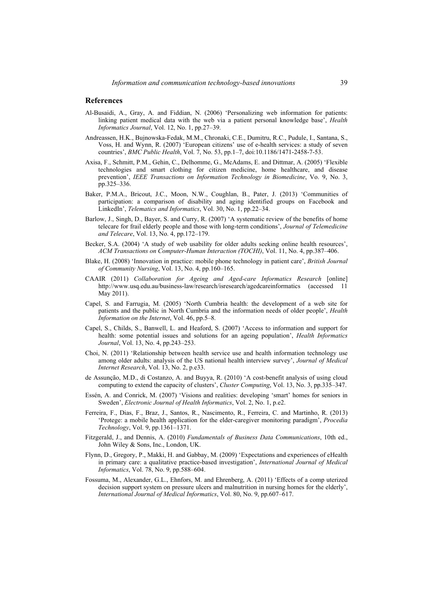#### **References**

- Al-Busaidi, A., Gray, A. and Fiddian, N. (2006) 'Personalizing web information for patients: linking patient medical data with the web via a patient personal knowledge base', *Health Informatics Journal*, Vol. 12, No. 1, pp.27–39.
- Andreassen, H.K., Bujnowska-Fedak, M.M., Chronaki, C.E., Dumitru, R.C., Pudule, I., Santana, S., Voss, H. and Wynn, R. (2007) 'European citizens' use of e-health services: a study of seven countries', *BMC Public Health*, Vol. 7, No. 53, pp.1–7, doi:10.1186/1471-2458-7-53.
- Axisa, F., Schmitt, P.M., Gehin, C., Delhomme, G., McAdams, E. and Dittmar, A. (2005) 'Flexible technologies and smart clothing for citizen medicine, home healthcare, and disease prevention', *IEEE Transactions on Information Technology in Biomedicine*, Vo. 9, No. 3, pp.325–336.
- Baker, P.M.A., Bricout, J.C., Moon, N.W., Coughlan, B., Pater, J. (2013) 'Communities of participation: a comparison of disability and aging identified groups on Facebook and LinkedIn', *Telematics and Informatics*, Vol. 30, No. 1, pp.22–34.
- Barlow, J., Singh, D., Bayer, S. and Curry, R. (2007) 'A systematic review of the benefits of home telecare for frail elderly people and those with long-term conditions', *Journal of Telemedicine and Telecare*, Vol. 13, No. 4, pp.172–179.
- Becker, S.A. (2004) 'A study of web usability for older adults seeking online health resources', *ACM Transactions on Computer-Human Interaction (TOCHI)*, Vol. 11, No. 4, pp.387–406.
- Blake, H. (2008) 'Innovation in practice: mobile phone technology in patient care', *British Journal of Community Nursing*, Vol. 13, No. 4, pp.160–165.
- CAAIR (2011) *Collaboration for Ageing and Aged-care Informatics Research* [online] http://www.usq.edu.au/business-law/research/isresearch/agedcareinformatics (accessed 11 May 2011).
- Capel, S. and Farrugia, M. (2005) 'North Cumbria health: the development of a web site for patients and the public in North Cumbria and the information needs of older people', *Health Information on the Internet*, Vol. 46, pp.5–8.
- Capel, S., Childs, S., Banwell, L. and Heaford, S. (2007) 'Access to information and support for health: some potential issues and solutions for an ageing population', *Health Informatics Journal*, Vol. 13, No. 4, pp.243–253.
- Choi, N. (2011) 'Relationship between health service use and health information technology use among older adults: analysis of the US national health interview survey', *Journal of Medical Internet Research*, Vol. 13, No. 2, p.e33.
- de Assunção, M.D., di Costanzo, A. and Buyya, R. (2010) 'A cost-benefit analysis of using cloud computing to extend the capacity of clusters', *Cluster Computing*, Vol. 13, No. 3, pp.335–347.
- Essén, A. and Conrick, M. (2007) 'Visions and realities: developing 'smart' homes for seniors in Sweden', *Electronic Journal of Health Informatics*, Vol. 2, No. 1, p.e2.
- Ferreira, F., Dias, F., Braz, J., Santos, R., Nascimento, R., Ferreira, C. and Martinho, R. (2013) 'Protege: a mobile health application for the elder-caregiver monitoring paradigm', *Procedia Technology*, Vol. 9, pp.1361–1371.
- Fitzgerald, J., and Dennis, A. (2010) *Fundamentals of Business Data Communications*, 10th ed., John Wiley & Sons, Inc., London, UK.
- Flynn, D., Gregory, P., Makki, H. and Gabbay, M. (2009) 'Expectations and experiences of eHealth in primary care: a qualitative practice-based investigation', *International Journal of Medical Informatics*, Vol. 78, No. 9, pp.588–604.
- Fossuma, M., Alexander, G.L., Ehnfors, M. and Ehrenberg, A. (2011) 'Effects of a comp uterized decision support system on pressure ulcers and malnutrition in nursing homes for the elderly', *International Journal of Medical Informatics*, Vol. 80, No. 9, pp.607–617.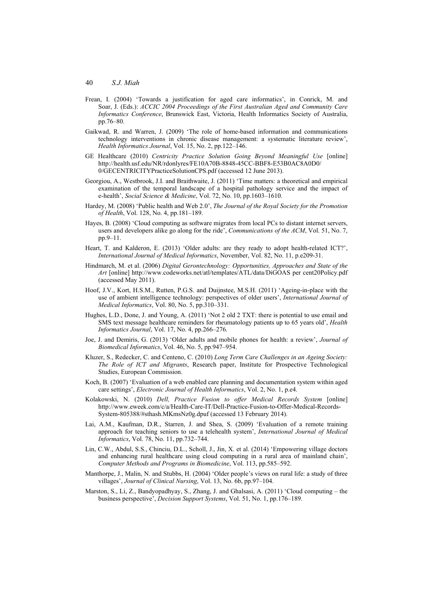- Frean, I. (2004) 'Towards a justification for aged care informatics', in Conrick, M. and Soar, J. (Eds.): *ACCIC 2004 Proceedings of the First Australian Aged and Community Care Informatics Conference*, Brunswick East, Victoria, Health Informatics Society of Australia, pp.76–80.
- Gaikwad, R. and Warren, J. (2009) 'The role of home-based information and communications technology interventions in chronic disease management: a systematic literature review', *Health Informatics Journal*, Vol. 15, No. 2, pp.122–146.
- GE Healthcare (2010) *Centricity Practice Solution Going Beyond Meaningful Use* [online] http://health.usf.edu/NR/rdonlyres/FE10A70B-8848-45CC-BBF8-E53B0AC8A0D0/ 0/GECENTRICITYPracticeSolutionCPS.pdf (accessed 12 June 2013).
- Georgiou, A., Westbrook, J.I. and Braithwaite, J. (2011) 'Time matters: a theoretical and empirical examination of the temporal landscape of a hospital pathology service and the impact of e-health', *Social Science & Medicine*, Vol. 72, No. 10, pp.1603–1610.
- Hardey, M. (2008) 'Public health and Web 2.0', *The Journal of the Royal Society for the Promotion of Health*, Vol. 128, No. 4, pp.181–189.
- Hayes, B. (2008) 'Cloud computing as software migrates from local PCs to distant internet servers, users and developers alike go along for the ride', *Communications of the ACM*, Vol. 51, No. 7, pp.9–11.
- Heart, T. and Kalderon, E. (2013) 'Older adults: are they ready to adopt health-related ICT?', *International Journal of Medical Informatics*, November, Vol. 82, No. 11, p.e209-31.
- Hindmarch, M. et al. (2006) *Digital Gerontechnology: Opportunities, Approaches and State of the Art* [online] http://www.codeworks.net/atl/templates/ATL/data/DiGOAS per cent20Policy.pdf (accessed May 2011).
- Hoof, J.V., Kort, H.S.M., Rutten, P.G.S. and Duijnstee, M.S.H. (2011) 'Ageing-in-place with the use of ambient intelligence technology: perspectives of older users', *International Journal of Medical Informatics*, Vol. 80, No. 5, pp.310–331.
- Hughes, L.D., Done, J. and Young, A. (2011) 'Not 2 old 2 TXT: there is potential to use email and SMS text message healthcare reminders for rheumatology patients up to 65 years old', *Health Informatics Journal*, Vol. 17, No. 4, pp.266–276.
- Joe, J. and Demiris, G. (2013) 'Older adults and mobile phones for health: a review', *Journal of Biomedical Informatics*, Vol. 46, No. 5, pp.947–954.
- Kluzer, S., Redecker, C. and Centeno, C. (2010) *Long Term Care Challenges in an Ageing Society: The Role of ICT and Migrants*, Research paper, Institute for Prospective Technological Studies, European Commission.
- Koch, B. (2007) 'Evaluation of a web enabled care planning and documentation system within aged care settings', *Electronic Journal of Health Informatics*, Vol. 2, No. 1, p.e4.
- Kolakowski, N. (2010) *Dell, Practice Fusion to offer Medical Records System* [online] http://www.eweek.com/c/a/Health-Care-IT/Dell-Practice-Fusion-to-Offer-Medical-Records-System-805388/#sthash.MKmsNz0g.dpuf (accessed 13 February 2014).
- Lai, A.M., Kaufman, D.R., Starren, J. and Shea, S. (2009) 'Evaluation of a remote training approach for teaching seniors to use a telehealth system', *International Journal of Medical Informatics*, Vol. 78, No. 11, pp.732–744.
- Lin, C.W., Abdul, S.S., Chinciu, D.L., Scholl, J., Jin, X. et al. (2014) 'Empowering village doctors and enhancing rural healthcare using cloud computing in a rural area of mainland chain', *Computer Methods and Programs in Biomedicine*, Vol. 113, pp.585–592.
- Manthorpe, J., Malin, N. and Stubbs, H. (2004) 'Older people's views on rural life: a study of three villages', *Journal of Clinical Nursing*, Vol. 13, No. 6b, pp.97–104.
- Marston, S., Li, Z., Bandyopadhyay, S., Zhang, J. and Ghalsasi, A. (2011) 'Cloud computing the business perspective', *Decision Support Systems*, Vol. 51, No. 1, pp.176–189.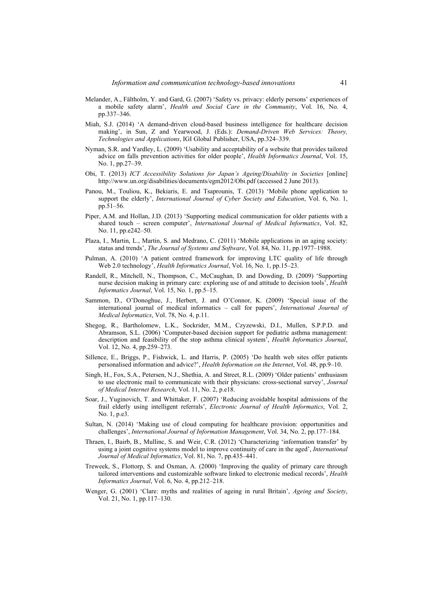- Melander, A., Fältholm, Y. and Gard, G. (2007) 'Safety vs. privacy: elderly persons' experiences of a mobile safety alarm', *Health and Social Care in the Community*, Vol. 16, No. 4, pp.337–346.
- Miah, S.J. (2014) 'A demand-driven cloud-based business intelligence for healthcare decision making', in Sun, Z and Yearwood, J. (Eds.): *Demand-Driven Web Services: Theory, Technologies and Applications*, IGI Global Publisher, USA, pp.324–339.
- Nyman, S.R. and Yardley, L. (2009) 'Usability and acceptability of a website that provides tailored advice on falls prevention activities for older people', *Health Informatics Journal*, Vol. 15, No. 1, pp.27–39.
- Obi, T. (2013) *ICT Accessibility Solutions for Japan's Ageing/Disability in Societies* [online] http://www.un.org/disabilities/documents/egm2012/Obi.pdf (accessed 2 June 2013).
- Panou, M., Touliou, K., Bekiaris, E. and Tsaprounis, T. (2013) 'Mobile phone application to support the elderly', *International Journal of Cyber Society and Education*, Vol. 6, No. 1, pp.51–56.
- Piper, A.M. and Hollan, J.D. (2013) 'Supporting medical communication for older patients with a shared touch – screen computer', *International Journal of Medical Informatics*, Vol. 82, No. 11, pp.e242–50.
- Plaza, I., Martin, L., Martin, S. and Medrano, C. (2011) 'Mobile applications in an aging society: status and trends', *The Journal of Systems and Software*, Vol. 84, No. 11, pp.1977–1988.
- Pulman, A. (2010) 'A patient centred framework for improving LTC quality of life through Web 2.0 technology', *Health Informatics Journal*, Vol. 16, No. 1, pp.15–23.
- Randell, R., Mitchell, N., Thompson, C., McCaughan, D. and Dowding, D. (2009) 'Supporting nurse decision making in primary care: exploring use of and attitude to decision tools', *Health Informatics Journal*, Vol. 15, No. 1, pp.5–15.
- Sammon, D., O'Donoghue, J., Herbert, J. and O'Connor, K. (2009) 'Special issue of the international journal of medical informatics – call for papers', *International Journal of Medical Informatics*, Vol. 78, No. 4, p.11.
- Shegog, R., Bartholomew, L.K., Sockrider, M.M., Czyzewski, D.I., Mullen, S.P.P.D. and Abramson, S.L. (2006) 'Computer-based decision support for pediatric asthma management: description and feasibility of the stop asthma clinical system', *Health Informatics Journal*, Vol. 12, No. 4, pp.259–273.
- Sillence, E., Briggs, P., Fishwick, L. and Harris, P. (2005) 'Do health web sites offer patients personalised information and advice?', *Health Information on the Internet*, Vol. 48, pp.9–10.
- Singh, H., Fox, S.A., Petersen, N.J., Shethia, A. and Street, R.L. (2009) 'Older patients' enthusiasm to use electronic mail to communicate with their physicians: cross-sectional survey', *Journal of Medical Internet Research*, Vol. 11, No. 2, p.e18.
- Soar, J., Yuginovich, T. and Whittaker, F. (2007) 'Reducing avoidable hospital admissions of the frail elderly using intelligent referrals', *Electronic Journal of Health Informatics*, Vol. 2, No. 1, p.e3.
- Sultan, N. (2014) 'Making use of cloud computing for healthcare provision: opportunities and challenges', *International Journal of Information Management*, Vol. 34, No. 2, pp.177–184.
- Thraen, I., Bairb, B., Mullinc, S. and Weir, C.R. (2012) 'Characterizing 'information transfer' by using a joint cognitive systems model to improve continuity of care in the aged', *International Journal of Medical Informatics*, Vol. 81, No. 7, pp.435–441.
- Treweek, S., Flottorp, S. and Oxman, A. (2000) 'Improving the quality of primary care through tailored interventions and customizable software linked to electronic medical records', *Health Informatics Journal*, Vol. 6, No. 4, pp.212–218.
- Wenger, G. (2001) 'Clare: myths and realities of ageing in rural Britain', *Ageing and Society*, Vol. 21, No. 1, pp.117–130.